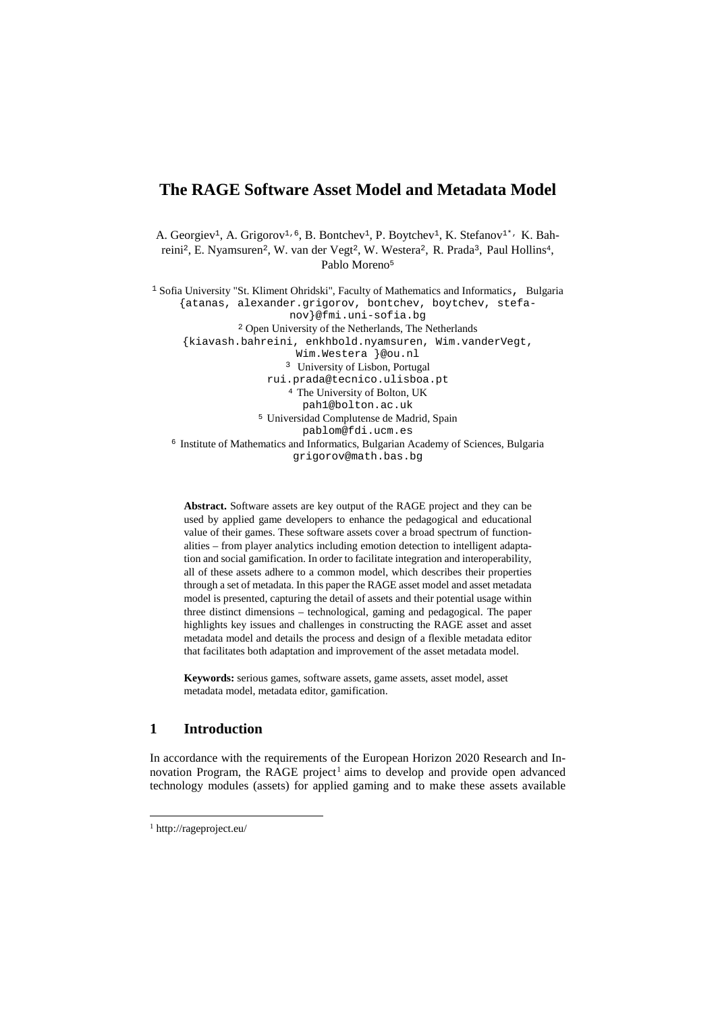# **The RAGE Software Asset Model and Metadata Model**

A. Georgiev<sup>1</sup>, A. Grigorov<sup>1, 6</sup>, B. Bontchev<sup>1</sup>, P. Boytchev<sup>1</sup>, K. Stefanov<sup>1\*,</sup> K. Bahreini<sup>2</sup>, E. Nyamsuren<sup>2</sup>, W. van der Vegt<sup>2</sup>, W. Westera<sup>2</sup>, R. Prada<sup>3</sup>, Paul Hollins<sup>4</sup>, Pablo Moreno<sup>5</sup>

<sup>1</sup> Sofia University "St. Kliment Ohridski", Faculty of Mathematics and Informatics, Bulgaria {atanas, alexander.grigorov, bontchev, boytchev, stefanov}@fmi.uni-sofia.bg 2 Open University of the Netherlands, The Netherlands {kiavash.bahreini, enkhbold.nyamsuren, Wim.vanderVegt, Wim.Westera }@ou.nl <sup>3</sup> University of Lisbon, Portugal<br>rui.prada@tecnico.ulisboa.pt <sup>4</sup> The University of Bolton, UK pah1@bolton.ac.uk <sup>5</sup> Universidad Complutense de Madrid, Spain pablom@fdi.ucm.es <sup>6</sup> Institute of Mathematics and Informatics, Bulgarian Academy of Sciences, Bulgaria grigorov@math.bas.bg

**Abstract.** Software assets are key output of the RAGE project and they can be used by applied game developers to enhance the pedagogical and educational value of their games. These software assets cover a broad spectrum of functionalities – from player analytics including emotion detection to intelligent adaptation and social gamification. In order to facilitate integration and interoperability, all of these assets adhere to a common model, which describes their properties through a set of metadata. In this paper the RAGE asset model and asset metadata model is presented, capturing the detail of assets and their potential usage within three distinct dimensions – technological, gaming and pedagogical. The paper highlights key issues and challenges in constructing the RAGE asset and asset metadata model and details the process and design of a flexible metadata editor that facilitates both adaptation and improvement of the asset metadata model.

**Keywords:** serious games, software assets, game assets, asset model, asset metadata model, metadata editor, gamification.

## **1 Introduction**

In accordance with the requirements of the European Horizon 2020 Research and In-novation Program, the RAGE project<sup>[1](#page-0-0)</sup> aims to develop and provide open advanced technology modules (assets) for applied gaming and to make these assets available

<span id="page-0-0"></span> <sup>1</sup> http://rageproject.eu/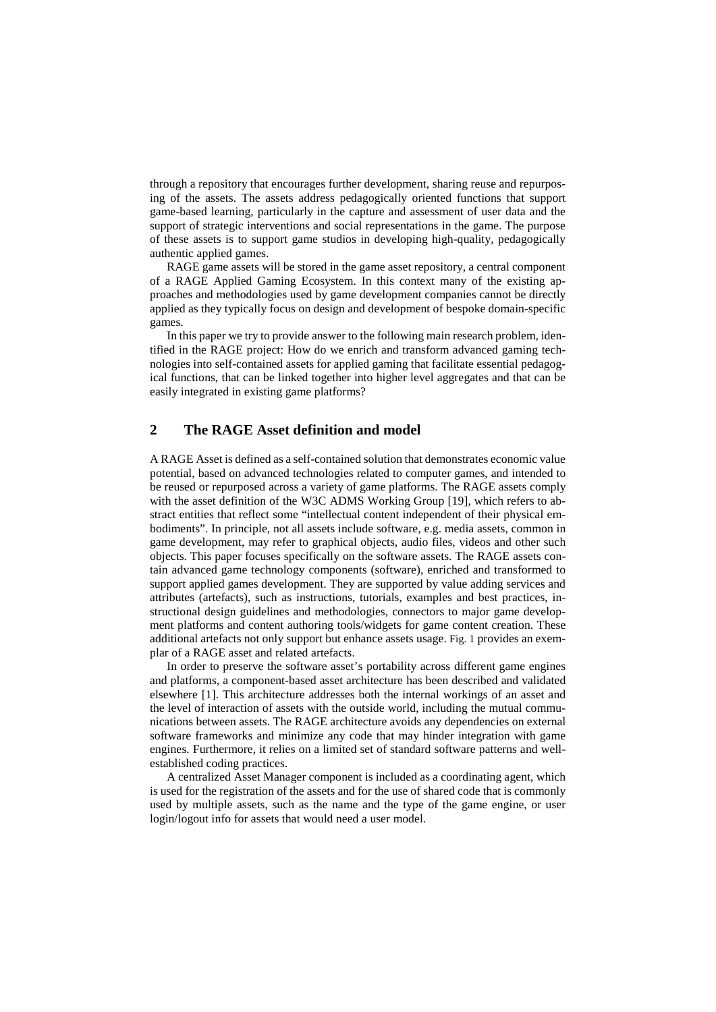through a repository that encourages further development, sharing reuse and repurposing of the assets. The assets address pedagogically oriented functions that support game-based learning, particularly in the capture and assessment of user data and the support of strategic interventions and social representations in the game. The purpose of these assets is to support game studios in developing high-quality, pedagogically authentic applied games.

RAGE game assets will be stored in the game asset repository, a central component of a RAGE Applied Gaming Ecosystem. In this context many of the existing approaches and methodologies used by game development companies cannot be directly applied as they typically focus on design and development of bespoke domain-specific games.

In this paper we try to provide answer to the following main research problem, identified in the RAGE project: How do we enrich and transform advanced gaming technologies into self-contained assets for applied gaming that facilitate essential pedagogical functions, that can be linked together into higher level aggregates and that can be easily integrated in existing game platforms?

## **2 The RAGE Asset definition and model**

A RAGE Asset is defined as a self-contained solution that demonstrates economic value potential, based on advanced technologies related to computer games, and intended to be reused or repurposed across a variety of game platforms. The RAGE assets comply with the asset definition of the W3C ADMS Working Group [19], which refers to abstract entities that reflect some "intellectual content independent of their physical embodiments". In principle, not all assets include software, e.g. media assets, common in game development, may refer to graphical objects, audio files, videos and other such objects. This paper focuses specifically on the software assets. The RAGE assets contain advanced game technology components (software), enriched and transformed to support applied games development. They are supported by value adding services and attributes (artefacts), such as instructions, tutorials, examples and best practices, instructional design guidelines and methodologies, connectors to major game development platforms and content authoring tools/widgets for game content creation. These additional artefacts not only support but enhance assets usage. [Fig.](#page-2-0) 1 provides an exemplar of a RAGE asset and related artefacts.

In order to preserve the software asset's portability across different game engines and platforms, a component-based asset architecture has been described and validated elsewhere [1]. This architecture addresses both the internal workings of an asset and the level of interaction of assets with the outside world, including the mutual communications between assets. The RAGE architecture avoids any dependencies on external software frameworks and minimize any code that may hinder integration with game engines. Furthermore, it relies on a limited set of standard software patterns and wellestablished coding practices.

A centralized Asset Manager component is included as a coordinating agent, which is used for the registration of the assets and for the use of shared code that is commonly used by multiple assets, such as the name and the type of the game engine, or user login/logout info for assets that would need a user model.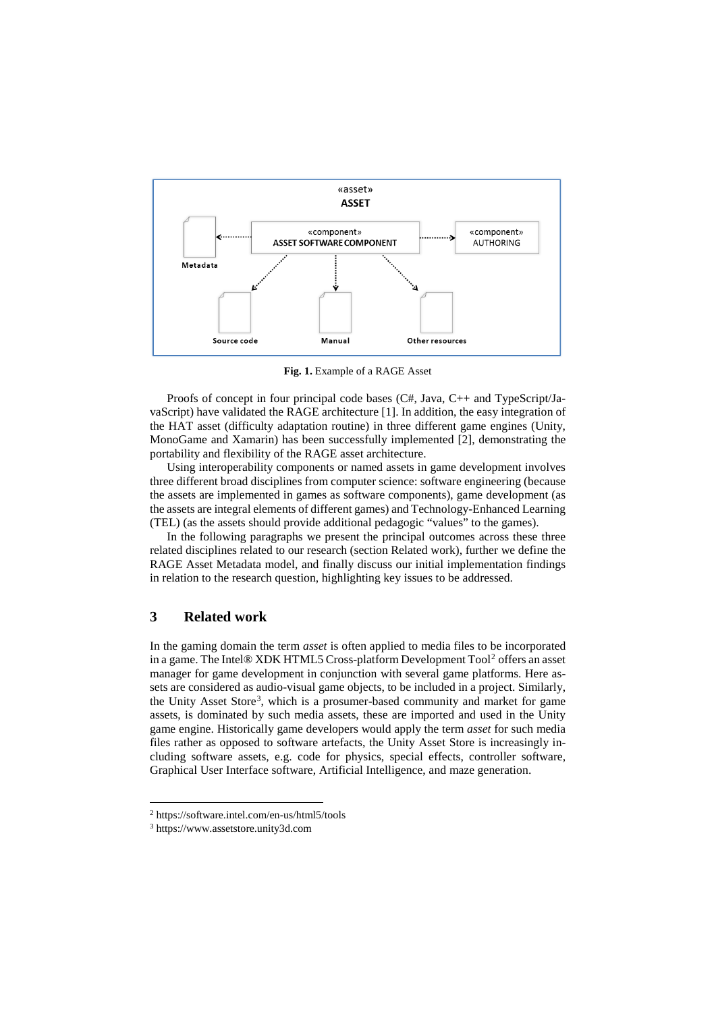

**Fig. 1.** Example of a RAGE Asset

<span id="page-2-0"></span>Proofs of concept in four principal code bases (C#, Java, C++ and TypeScript/JavaScript) have validated the RAGE architecture [1]. In addition, the easy integration of the HAT asset (difficulty adaptation routine) in three different game engines (Unity, MonoGame and Xamarin) has been successfully implemented [2], demonstrating the portability and flexibility of the RAGE asset architecture.

Using interoperability components or named assets in game development involves three different broad disciplines from computer science: software engineering (because the assets are implemented in games as software components), game development (as the assets are integral elements of different games) and Technology-Enhanced Learning (TEL) (as the assets should provide additional pedagogic "values" to the games).

In the following paragraphs we present the principal outcomes across these three related disciplines related to our research (section Related work), further we define the RAGE Asset Metadata model, and finally discuss our initial implementation findings in relation to the research question, highlighting key issues to be addressed.

## **3 Related work**

In the gaming domain the term *asset* is often applied to media files to be incorporated in a game. The Intel® XDK HTML5 Cross-platform Development Tool<sup>[2](#page-2-1)</sup> offers an asset manager for game development in conjunction with several game platforms. Here assets are considered as audio-visual game objects, to be included in a project. Similarly, the Unity Asset Store<sup>[3](#page-2-2)</sup>, which is a prosumer-based community and market for game assets, is dominated by such media assets, these are imported and used in the Unity game engine. Historically game developers would apply the term *asset* for such media files rather as opposed to software artefacts, the Unity Asset Store is increasingly including software assets, e.g. code for physics, special effects, controller software, Graphical User Interface software, Artificial Intelligence, and maze generation.

<span id="page-2-2"></span><span id="page-2-1"></span> <sup>2</sup> https://software.intel.com/en-us/html5/tools

<sup>3</sup> https://www.assetstore.unity3d.com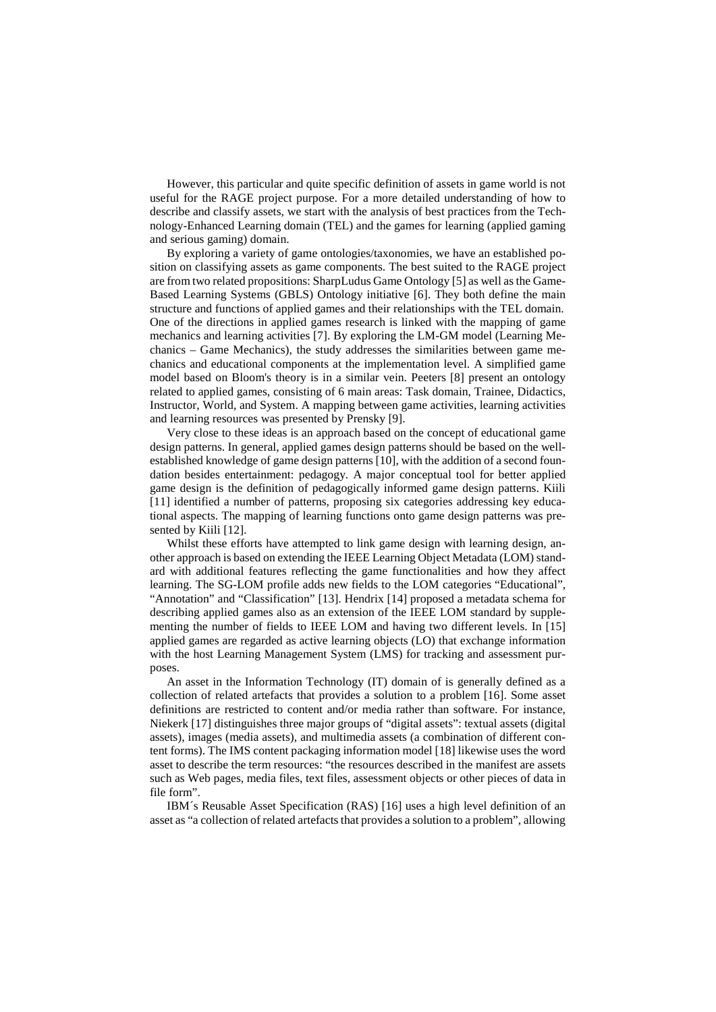However, this particular and quite specific definition of assets in game world is not useful for the RAGE project purpose. For a more detailed understanding of how to describe and classify assets, we start with the analysis of best practices from the Technology-Enhanced Learning domain (TEL) and the games for learning (applied gaming and serious gaming) domain.

By exploring a variety of game ontologies/taxonomies, we have an established position on classifying assets as game components. The best suited to the RAGE project are from two related propositions: SharpLudus Game Ontology [5] as well as the Game-Based Learning Systems (GBLS) Ontology initiative [6]. They both define the main structure and functions of applied games and their relationships with the TEL domain. One of the directions in applied games research is linked with the mapping of game mechanics and learning activities [7]. By exploring the LM-GM model (Learning Mechanics – Game Mechanics), the study addresses the similarities between game mechanics and educational components at the implementation level. A simplified game model based on Bloom's theory is in a similar vein. Peeters [8] present an ontology related to applied games, consisting of 6 main areas: Task domain, Trainee, Didactics, Instructor, World, and System. A mapping between game activities, learning activities and learning resources was presented by Prensky [9].

Very close to these ideas is an approach based on the concept of educational game design patterns. In general, applied games design patterns should be based on the wellestablished knowledge of game design patterns [10], with the addition of a second foundation besides entertainment: pedagogy. A major conceptual tool for better applied game design is the definition of pedagogically informed game design patterns. Kiili [11] identified a number of patterns, proposing six categories addressing key educational aspects. The mapping of learning functions onto game design patterns was presented by Kiili [12].

Whilst these efforts have attempted to link game design with learning design, another approach is based on extending the IEEE Learning Object Metadata (LOM) standard with additional features reflecting the game functionalities and how they affect learning. The SG-LOM profile adds new fields to the LOM categories "Educational", "Annotation" and "Classification" [13]. Hendrix [14] proposed a metadata schema for describing applied games also as an extension of the IEEE LOM standard by supplementing the number of fields to IEEE LOM and having two different levels. In [15] applied games are regarded as active learning objects (LO) that exchange information with the host Learning Management System (LMS) for tracking and assessment purposes.

An asset in the Information Technology (IT) domain of is generally defined as a collection of related artefacts that provides a solution to a problem [16]. Some asset definitions are restricted to content and/or media rather than software. For instance, Niekerk [17] distinguishes three major groups of "digital assets": textual assets (digital assets), images (media assets), and multimedia assets (a combination of different content forms). The IMS content packaging information model [18] likewise uses the word asset to describe the term resources: "the resources described in the manifest are assets such as Web pages, media files, text files, assessment objects or other pieces of data in file form".

IBM´s Reusable Asset Specification (RAS) [16] uses a high level definition of an asset as "a collection of related artefacts that provides a solution to a problem", allowing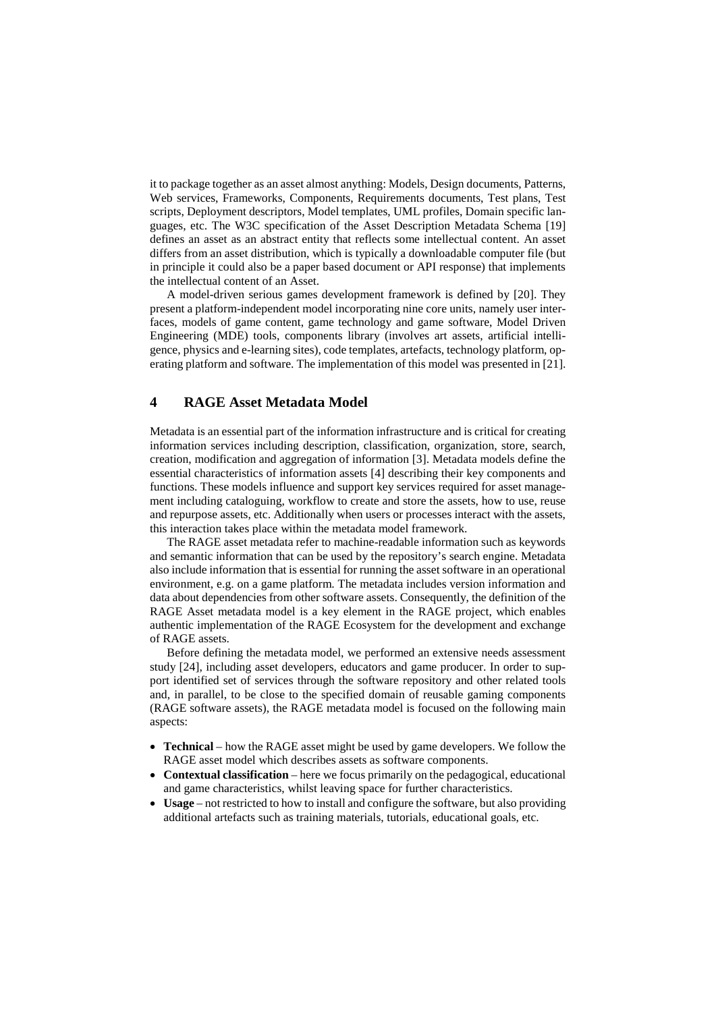it to package together as an asset almost anything: Models, Design documents, Patterns, Web services, Frameworks, Components, Requirements documents, Test plans, Test scripts, Deployment descriptors, Model templates, UML profiles, Domain specific languages, etc. The W3C specification of the Asset Description Metadata Schema [19] defines an asset as an abstract entity that reflects some intellectual content. An asset differs from an asset distribution, which is typically a downloadable computer file (but in principle it could also be a paper based document or API response) that implements the intellectual content of an Asset.

A model-driven serious games development framework is defined by [20]. They present a platform-independent model incorporating nine core units, namely user interfaces, models of game content, game technology and game software, Model Driven Engineering (MDE) tools, components library (involves art assets, artificial intelligence, physics and e-learning sites), code templates, artefacts, technology platform, operating platform and software. The implementation of this model was presented in [21].

### **4 RAGE Asset Metadata Model**

Metadata is an essential part of the information infrastructure and is critical for creating information services including description, classification, organization, store, search, creation, modification and aggregation of information [3]. Metadata models define the essential characteristics of information assets [4] describing their key components and functions. These models influence and support key services required for asset management including cataloguing, workflow to create and store the assets, how to use, reuse and repurpose assets, etc. Additionally when users or processes interact with the assets, this interaction takes place within the metadata model framework.

The RAGE asset metadata refer to machine-readable information such as keywords and semantic information that can be used by the repository's search engine. Metadata also include information that is essential for running the asset software in an operational environment, e.g. on a game platform. The metadata includes version information and data about dependencies from other software assets. Consequently, the definition of the RAGE Asset metadata model is a key element in the RAGE project, which enables authentic implementation of the RAGE Ecosystem for the development and exchange of RAGE assets.

Before defining the metadata model, we performed an extensive needs assessment study [24], including asset developers, educators and game producer. In order to support identified set of services through the software repository and other related tools and, in parallel, to be close to the specified domain of reusable gaming components (RAGE software assets), the RAGE metadata model is focused on the following main aspects:

- **Technical** how the RAGE asset might be used by game developers. We follow the RAGE asset model which describes assets as software components.
- **Contextual classification** here we focus primarily on the pedagogical, educational and game characteristics, whilst leaving space for further characteristics.
- **Usage** not restricted to how to install and configure the software, but also providing additional artefacts such as training materials, tutorials, educational goals, etc.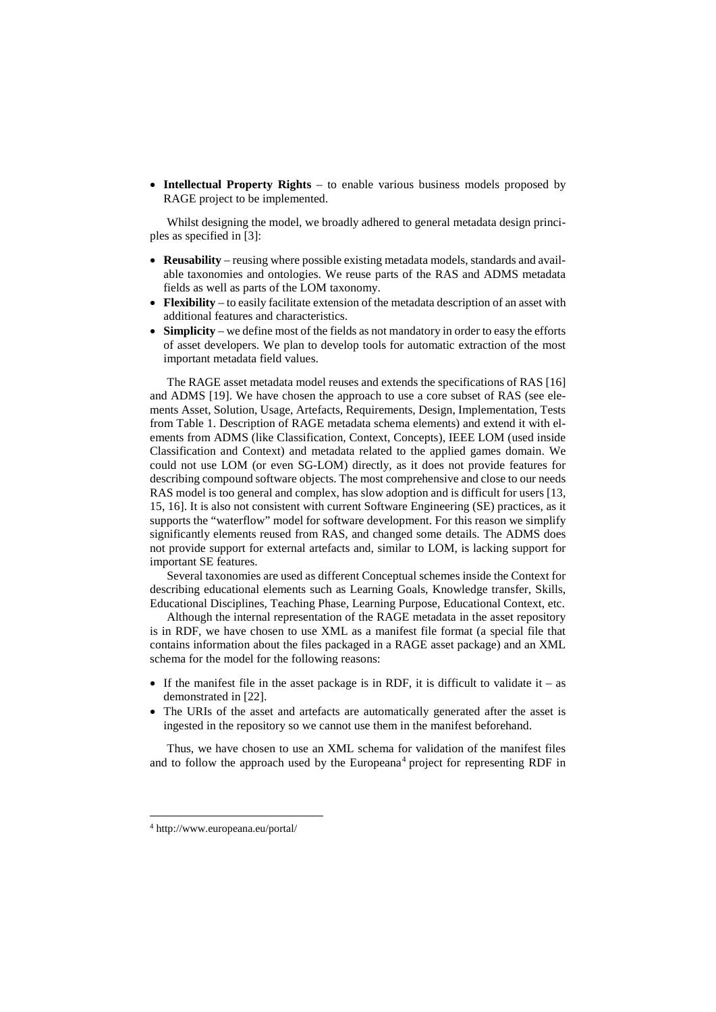• **Intellectual Property Rights** – to enable various business models proposed by RAGE project to be implemented.

Whilst designing the model, we broadly adhered to general metadata design principles as specified in [3]:

- **Reusability** reusing where possible existing metadata models, standards and available taxonomies and ontologies. We reuse parts of the RAS and ADMS metadata fields as well as parts of the LOM taxonomy.
- **Flexibility** to easily facilitate extension of the metadata description of an asset with additional features and characteristics.
- **Simplicity** we define most of the fields as not mandatory in order to easy the efforts of asset developers. We plan to develop tools for automatic extraction of the most important metadata field values.

The RAGE asset metadata model reuses and extends the specifications of RAS [16] and ADMS [19]. We have chosen the approach to use a core subset of RAS (see elements Asset, Solution, Usage, Artefacts, Requirements, Design, Implementation, Tests from [Table 1. Description of RAGE metadata schema elements\)](#page-7-0) and extend it with elements from ADMS (like Classification, Context, Concepts), IEEE LOM (used inside Classification and Context) and metadata related to the applied games domain. We could not use LOM (or even SG-LOM) directly, as it does not provide features for describing compound software objects. The most comprehensive and close to our needs RAS model is too general and complex, has slow adoption and is difficult for users [13, 15, 16]. It is also not consistent with current Software Engineering (SE) practices, as it supports the "waterflow" model for software development. For this reason we simplify significantly elements reused from RAS, and changed some details. The ADMS does not provide support for external artefacts and, similar to LOM, is lacking support for important SE features.

Several taxonomies are used as different Conceptual schemes inside the Context for describing educational elements such as Learning Goals, Knowledge transfer, Skills, Educational Disciplines, Teaching Phase, Learning Purpose, Educational Context, etc.

Although the internal representation of the RAGE metadata in the asset repository is in RDF, we have chosen to use XML as a manifest file format (a special file that contains information about the files packaged in a RAGE asset package) and an XML schema for the model for the following reasons:

- If the manifest file in the asset package is in RDF, it is difficult to validate it as demonstrated in [22].
- The URIs of the asset and artefacts are automatically generated after the asset is ingested in the repository so we cannot use them in the manifest beforehand.

Thus, we have chosen to use an XML schema for validation of the manifest files and to follow the approach used by the Europeana<sup>[4](#page-5-0)</sup> project for representing RDF in

<span id="page-5-0"></span> <sup>4</sup> http://www.europeana.eu/portal/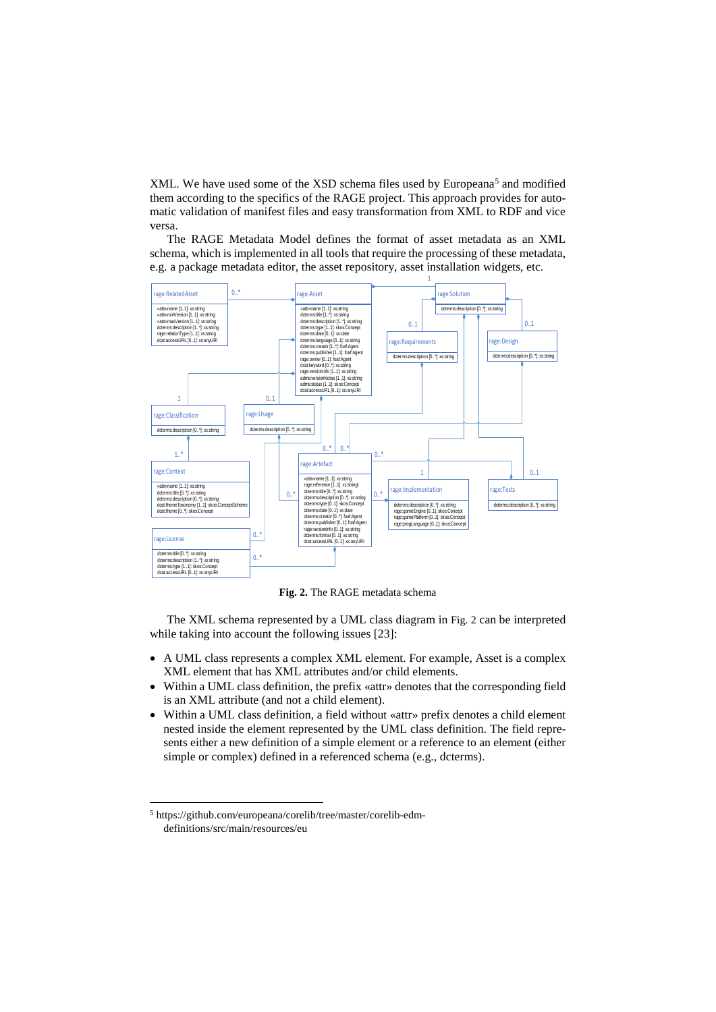XML. We have used some of the XSD schema files used by Europeana<sup>[5](#page-6-1)</sup> and modified them according to the specifics of the RAGE project. This approach provides for automatic validation of manifest files and easy transformation from XML to RDF and vice versa.

The RAGE Metadata Model defines the format of asset metadata as an XML schema, which is implemented in all tools that require the processing of these metadata, e.g. a package metadata editor, the asset repository, asset installation widgets, etc.



**Fig. 2.** The RAGE metadata schema

<span id="page-6-0"></span>The XML schema represented by a UML class diagram in [Fig.](#page-6-0) 2 can be interpreted while taking into account the following issues [23]:

- A UML class represents a complex XML element. For example, Asset is a complex XML element that has XML attributes and/or child elements.
- Within a UML class definition, the prefix «attr» denotes that the corresponding field is an XML attribute (and not a child element).
- Within a UML class definition, a field without «attr» prefix denotes a child element nested inside the element represented by the UML class definition. The field represents either a new definition of a simple element or a reference to an element (either simple or complex) defined in a referenced schema (e.g., dcterms).

<span id="page-6-1"></span> <sup>5</sup> https://github.com/europeana/corelib/tree/master/corelib-edmdefinitions/src/main/resources/eu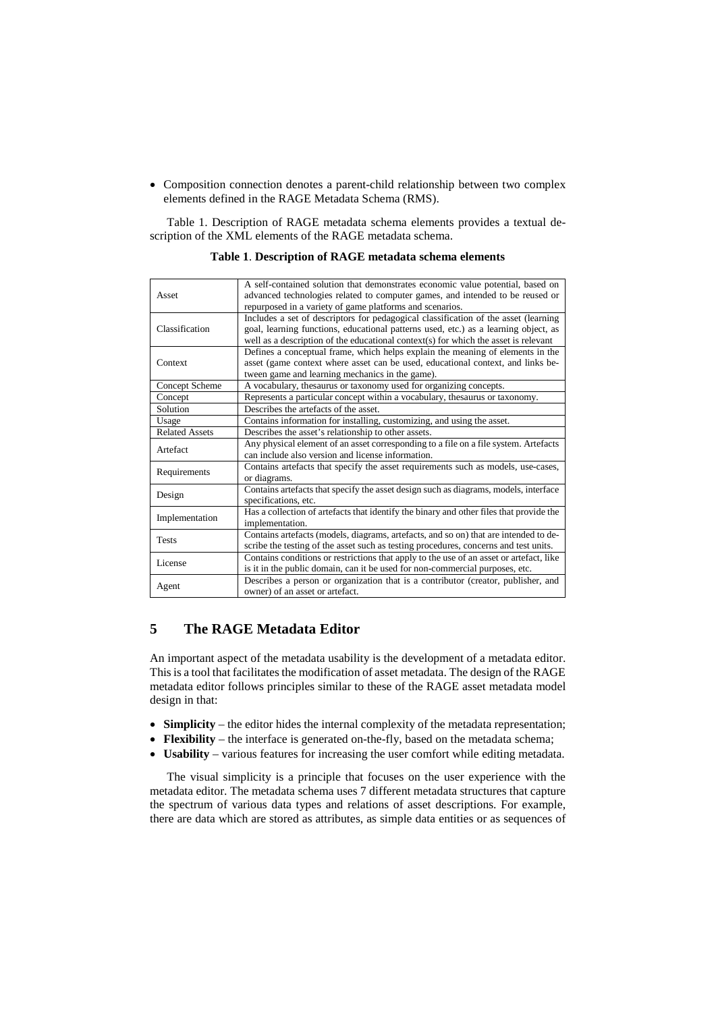• Composition connection denotes a parent-child relationship between two complex elements defined in the RAGE Metadata Schema (RMS).

<span id="page-7-0"></span>[Table 1. Description of RAGE metadata schema elements](#page-7-0) provides a textual description of the XML elements of the RAGE metadata schema.

| Asset                 | A self-contained solution that demonstrates economic value potential, based on<br>advanced technologies related to computer games, and intended to be reused or<br>repurposed in a variety of game platforms and scenarios. |
|-----------------------|-----------------------------------------------------------------------------------------------------------------------------------------------------------------------------------------------------------------------------|
|                       | Includes a set of descriptors for pedagogical classification of the asset (learning                                                                                                                                         |
| Classification        |                                                                                                                                                                                                                             |
|                       | goal, learning functions, educational patterns used, etc.) as a learning object, as                                                                                                                                         |
|                       | well as a description of the educational context(s) for which the asset is relevant                                                                                                                                         |
| Context               | Defines a conceptual frame, which helps explain the meaning of elements in the                                                                                                                                              |
|                       | asset (game context where asset can be used, educational context, and links be-                                                                                                                                             |
|                       | tween game and learning mechanics in the game).                                                                                                                                                                             |
| Concept Scheme        | A vocabulary, thesaurus or taxonomy used for organizing concepts.                                                                                                                                                           |
| Concept               | Represents a particular concept within a vocabulary, thesaurus or taxonomy.                                                                                                                                                 |
| Solution              | Describes the artefacts of the asset.                                                                                                                                                                                       |
| Usage                 | Contains information for installing, customizing, and using the asset.                                                                                                                                                      |
| <b>Related Assets</b> | Describes the asset's relationship to other assets.                                                                                                                                                                         |
| Artefact              | Any physical element of an asset corresponding to a file on a file system. Artefacts                                                                                                                                        |
|                       | can include also version and license information.                                                                                                                                                                           |
| Requirements          | Contains artefacts that specify the asset requirements such as models, use-cases,                                                                                                                                           |
|                       | or diagrams.                                                                                                                                                                                                                |
| Design                | Contains artefacts that specify the asset design such as diagrams, models, interface                                                                                                                                        |
|                       | specifications, etc.                                                                                                                                                                                                        |
| Implementation        | Has a collection of artefacts that identify the binary and other files that provide the                                                                                                                                     |
|                       | implementation.                                                                                                                                                                                                             |
| <b>Tests</b>          | Contains artefacts (models, diagrams, artefacts, and so on) that are intended to de-                                                                                                                                        |
|                       | scribe the testing of the asset such as testing procedures, concerns and test units.                                                                                                                                        |
| License               | Contains conditions or restrictions that apply to the use of an asset or artefact, like                                                                                                                                     |
|                       | is it in the public domain, can it be used for non-commercial purposes, etc.                                                                                                                                                |
| Agent                 | Describes a person or organization that is a contributor (creator, publisher, and                                                                                                                                           |
|                       | owner) of an asset or artefact.                                                                                                                                                                                             |

**Table 1**. **Description of RAGE metadata schema elements**

## **5 The RAGE Metadata Editor**

An important aspect of the metadata usability is the development of a metadata editor. This is a tool that facilitates the modification of asset metadata. The design of the RAGE metadata editor follows principles similar to these of the RAGE asset metadata model design in that:

- **Simplicity** the editor hides the internal complexity of the metadata representation;
- **Flexibility** the interface is generated on-the-fly, based on the metadata schema;
- **Usability** various features for increasing the user comfort while editing metadata.

The visual simplicity is a principle that focuses on the user experience with the metadata editor. The metadata schema uses 7 different metadata structures that capture the spectrum of various data types and relations of asset descriptions. For example, there are data which are stored as attributes, as simple data entities or as sequences of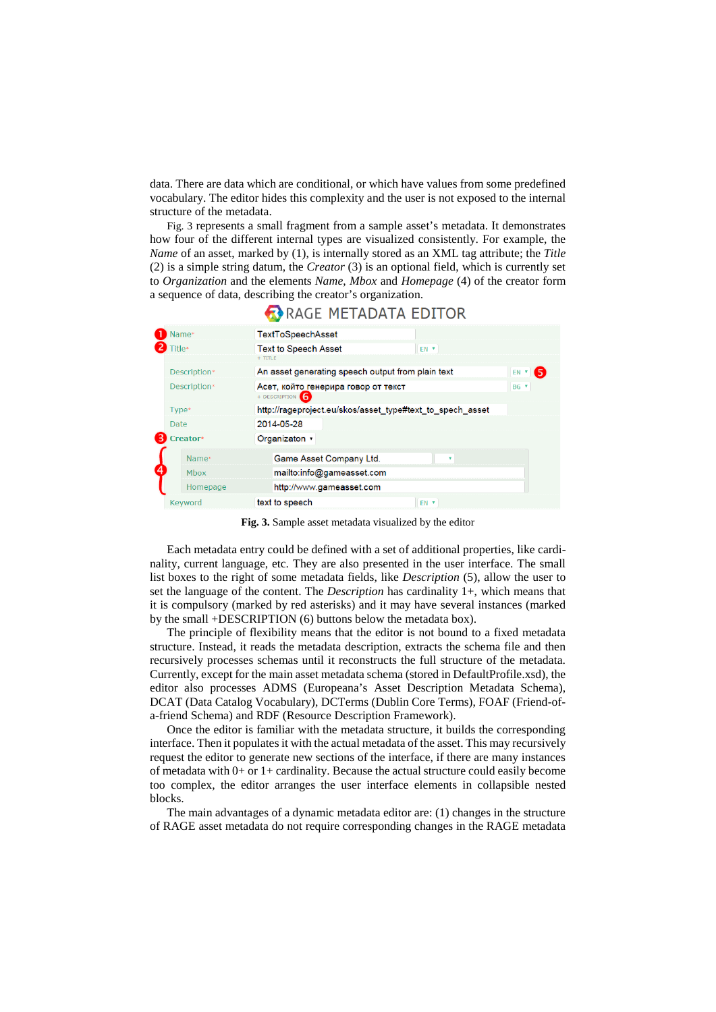data. There are data which are conditional, or which have values from some predefined vocabulary. The editor hides this complexity and the user is not exposed to the internal structure of the metadata.

[Fig.](#page-8-0) 3 represents a small fragment from a sample asset's metadata. It demonstrates how four of the different internal types are visualized consistently. For example, the *Name* of an asset, marked by (1), is internally stored as an XML tag attribute; the *Title* (2) is a simple string datum, the *Creator* (3) is an optional field, which is currently set to *Organization* and the elements *Name*, *Mbox* and *Homepage* (4) of the creator form a sequence of data, describing the creator's organization.



RAGE METADATA EDITOR

**Fig. 3.** Sample asset metadata visualized by the editor

<span id="page-8-0"></span>Each metadata entry could be defined with a set of additional properties, like cardinality, current language, etc. They are also presented in the user interface. The small list boxes to the right of some metadata fields, like *Description* (5), allow the user to set the language of the content. The *Description* has cardinality 1+, which means that it is compulsory (marked by red asterisks) and it may have several instances (marked by the small +DESCRIPTION (6) buttons below the metadata box).

The principle of flexibility means that the editor is not bound to a fixed metadata structure. Instead, it reads the metadata description, extracts the schema file and then recursively processes schemas until it reconstructs the full structure of the metadata. Currently, except for the main asset metadata schema (stored in DefaultProfile.xsd), the editor also processes ADMS (Europeana's Asset Description Metadata Schema), DCAT (Data Catalog Vocabulary), DCTerms (Dublin Core Terms), FOAF (Friend-ofa-friend Schema) and RDF (Resource Description Framework).

Once the editor is familiar with the metadata structure, it builds the corresponding interface. Then it populates it with the actual metadata of the asset. This may recursively request the editor to generate new sections of the interface, if there are many instances of metadata with  $0+$  or  $1+$  cardinality. Because the actual structure could easily become too complex, the editor arranges the user interface elements in collapsible nested blocks.

The main advantages of a dynamic metadata editor are: (1) changes in the structure of RAGE asset metadata do not require corresponding changes in the RAGE metadata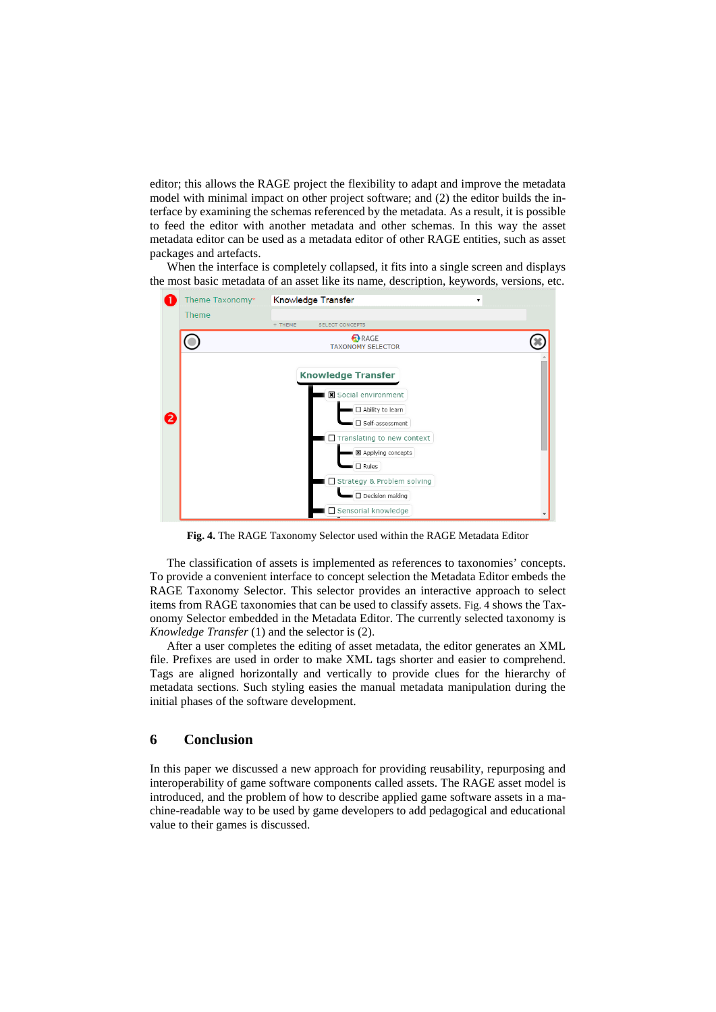editor; this allows the RAGE project the flexibility to adapt and improve the metadata model with minimal impact on other project software; and (2) the editor builds the interface by examining the schemas referenced by the metadata. As a result, it is possible to feed the editor with another metadata and other schemas. In this way the asset metadata editor can be used as a metadata editor of other RAGE entities, such as asset packages and artefacts.

When the interface is completely collapsed, it fits into a single screen and displays the most basic metadata of an asset like its name, description, keywords, versions, etc.



**Fig. 4.** The RAGE Taxonomy Selector used within the RAGE Metadata Editor

<span id="page-9-0"></span>The classification of assets is implemented as references to taxonomies' concepts. To provide a convenient interface to concept selection the Metadata Editor embeds the RAGE Taxonomy Selector. This selector provides an interactive approach to select items from RAGE taxonomies that can be used to classify assets. [Fig.](#page-9-0) 4 shows the Taxonomy Selector embedded in the Metadata Editor. The currently selected taxonomy is *Knowledge Transfer* (1) and the selector is (2).

After a user completes the editing of asset metadata, the editor generates an XML file. Prefixes are used in order to make XML tags shorter and easier to comprehend. Tags are aligned horizontally and vertically to provide clues for the hierarchy of metadata sections. Such styling easies the manual metadata manipulation during the initial phases of the software development.

#### **6 Conclusion**

In this paper we discussed a new approach for providing reusability, repurposing and interoperability of game software components called assets. The RAGE asset model is introduced, and the problem of how to describe applied game software assets in a machine-readable way to be used by game developers to add pedagogical and educational value to their games is discussed.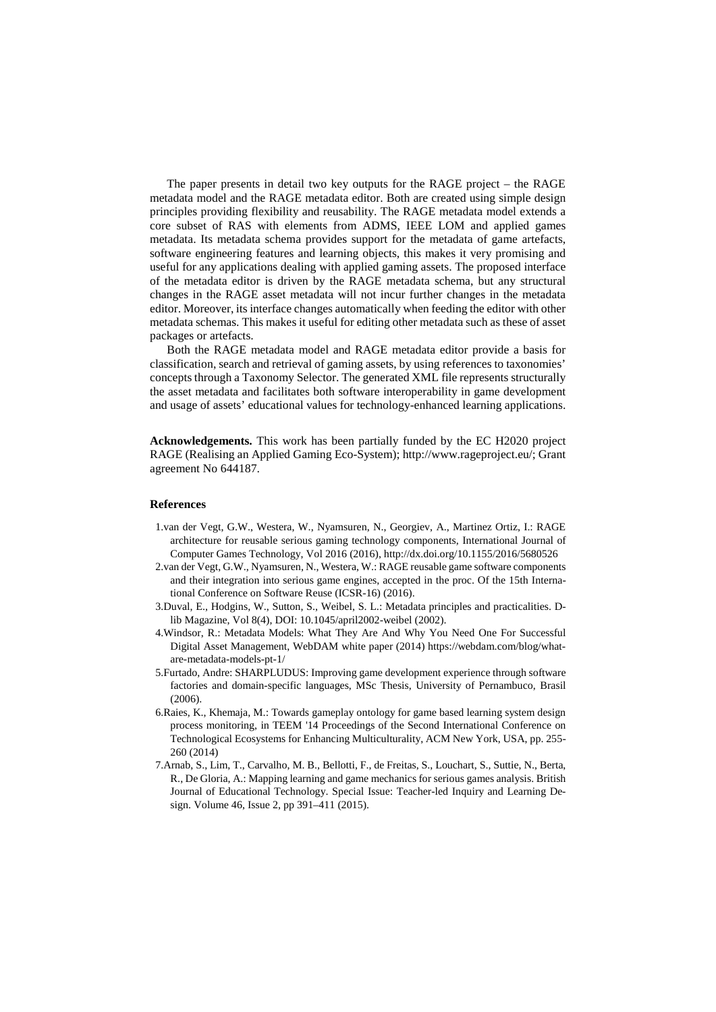The paper presents in detail two key outputs for the RAGE project – the RAGE metadata model and the RAGE metadata editor. Both are created using simple design principles providing flexibility and reusability. The RAGE metadata model extends a core subset of RAS with elements from ADMS, IEEE LOM and applied games metadata. Its metadata schema provides support for the metadata of game artefacts, software engineering features and learning objects, this makes it very promising and useful for any applications dealing with applied gaming assets. The proposed interface of the metadata editor is driven by the RAGE metadata schema, but any structural changes in the RAGE asset metadata will not incur further changes in the metadata editor. Moreover, its interface changes automatically when feeding the editor with other metadata schemas. This makes it useful for editing other metadata such as these of asset packages or artefacts.

Both the RAGE metadata model and RAGE metadata editor provide a basis for classification, search and retrieval of gaming assets, by using references to taxonomies' concepts through a Taxonomy Selector. The generated XML file represents structurally the asset metadata and facilitates both software interoperability in game development and usage of assets' educational values for technology-enhanced learning applications.

**Acknowledgements.** This work has been partially funded by the EC H2020 project RAGE (Realising an Applied Gaming Eco-System); http://www.rageproject.eu/; Grant agreement No 644187.

#### **References**

- 1.van der Vegt, G.W., Westera, W., Nyamsuren, N., Georgiev, A., Martinez Ortiz, I.: RAGE architecture for reusable serious gaming technology components, International Journal of Computer Games Technology, Vol 2016 (2016), http://dx.doi.org/10.1155/2016/5680526
- 2.van der Vegt, G.W., Nyamsuren, N., Westera, W.: RAGE reusable game software components and their integration into serious game engines, accepted in the proc. Of the 15th International Conference on Software Reuse (ICSR-16) (2016).
- 3.Duval, E., Hodgins, W., Sutton, S., Weibel, S. L.: Metadata principles and practicalities. Dlib Magazine, Vol 8(4), DOI: 10.1045/april2002-weibel (2002).
- 4.Windsor, R.: Metadata Models: What They Are And Why You Need One For Successful Digital Asset Management, WebDAM white paper (2014) https://webdam.com/blog/whatare-metadata-models-pt-1/
- 5.Furtado, Andre: SHARPLUDUS: Improving game development experience through software factories and domain-specific languages, MSc Thesis, University of Pernambuco, Brasil (2006).
- 6.Raies, K., Khemaja, M.: Towards gameplay ontology for game based learning system design process monitoring, in TEEM '14 Proceedings of the Second International Conference on Technological Ecosystems for Enhancing Multiculturality, ACM New York, USA, pp. 255- 260 (2014)
- 7.Arnab, S., Lim, T., Carvalho, M. B., Bellotti, F., de Freitas, S., Louchart, S., Suttie, N., Berta, R., De Gloria, A.: Mapping learning and game mechanics for serious games analysis. British Journal of Educational Technology. Special Issue: Teacher-led Inquiry and Learning Design. Volume 46, Issue 2, pp 391–411 (2015).